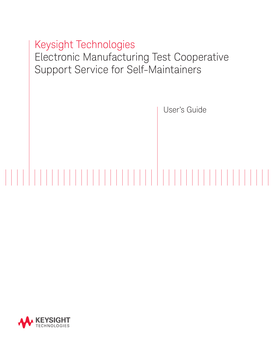

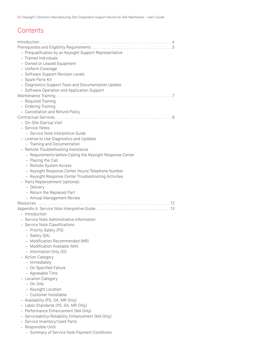02 | Keysight | Electronic Manufacturing Test Cooperative Support Service for Self-Maintainers - User's Guide

# **Contents**

| - Prequalification by an Keysight Support Representative   |
|------------------------------------------------------------|
| - Trained Individuals                                      |
| - Owned or Leased Equipment                                |
| - Uniform Coverage                                         |
| - Software Support Revision Levels                         |
| - Spare Parts Kit                                          |
| - Diagnostics Support Tools and Documentation Update       |
| - Software Operation and Application Support               |
|                                                            |
| - Required Training                                        |
| - Ordering Training                                        |
| - Cancellation and Refund Policy                           |
|                                                            |
| - On-Site Startup Visit                                    |
| - Service Notes                                            |
| - Service Note Interpretive Guide                          |
| - License to Use Diagnostics and Updates                   |
| - Training and Documentation                               |
| - Remote Troubleshooting Assistance                        |
| - Requirements before Calling the Keysight Response Center |
| - Placing the Call                                         |
| - Remote System Access                                     |
| - Keysight Response Center Hours/Telephone Number          |
| - Keysight Response Center Troubleshooting Activities      |
| - Parts Replenishment (optional)                           |
|                                                            |
| - Delivery                                                 |
| - Return the Replaced Part                                 |
| - Annual Management Review                                 |
|                                                            |
|                                                            |
| - Introduction                                             |
| - Service Note Administrative Information                  |
| - Service Note Classifications                             |
| - Priority Safety (PS)                                     |
| - Safety (SA)                                              |
| - Modification Recommended (MR)                            |
| - Modification Available (MA)                              |
| - Information Only (IO)                                    |
| - Action Category                                          |
| - Immediately                                              |
| - On Specified Failure                                     |
| - Agreeable Time                                           |
| - Location Category                                        |
| – On-Site                                                  |
| - Keysight Location                                        |
| - Customer Installable                                     |
|                                                            |
| - Availability (PS, SA, MR Only)                           |
| - Labor Standards (PS, SA, MR Only)                        |
| - Performance Enhancement (MA Only)                        |
| - Serviceability/Reliability Enhancement (MA Only)         |
| - Service Inventory/Used Parts<br>- Responsible Until      |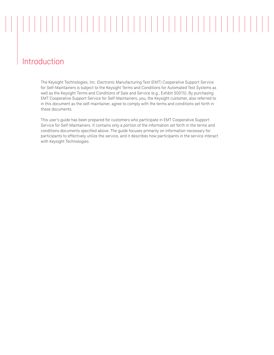# Introduction

The Keysight Technologies, Inc. Electronic Manufacturing Test (EMT) Cooperative Support Service for Self-Maintainers is subject to the Keysight Terms and Conditions for Automated Test Systems as well as the Keysight Terms and Conditions of Sale and Service (e.g., Exhibit S0015). By purchasing EMT Cooperative Support Service for Self-Maintainers, you, the Keysight customer, also referred to in this document as the self-maintainer, agree to comply with the terms and conditions set forth in these documents.

This user's guide has been prepared for customers who participate in EMT Cooperative Support Service for Self-Maintainers. It contains only a portion of the information set forth in the terms and conditions documents specified above. The guide focuses primarily on information necessary for participants to effectively utilize the service, and it describes how participants in the service interact with Keysight Technologies.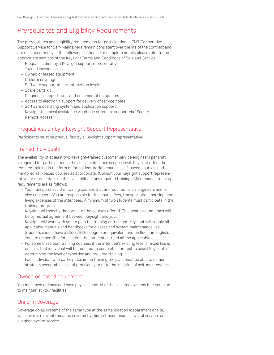# Prerequisites and Eligibility Requirements

The prerequisites and eligibility requirements for participation in EMT Cooperative Support Service for Self-Maintainers remain consistent over the life of the contract and are described briefly in the following sections. For complete details please refer to the appropriate sections of the Keysight Terms and Conditions of Sale and Service.

- Prequalification by a Keysight support representative
- Trained individuals
- Owned or leased equipment
- Uniform coverage
- Software support at current revision levels
- Spare parts kit
- Diagnostic support tools and documentation updates
- Access to electronic support for delivery of service notes
- Software operating system and application support
- Keysight technical assistance via phone or remote support via "Secure Remote Access"

### Prequalification by a Keysight Support Representative

Participants must be prequalified by a Keysight support representative.

### Trained individuals

The availability of at least two Keysight-trained customer service engineers per shift is required for participation in the self-maintenance service level. Keysight offers the required training in the form of formal lecture/lab courses, self-paced courses, and mentored self-paced courses as appropriate. (Consult your Keysight support representative for more details on the availability of any required training.) Maintenance training requirements are as follows:

- You must purchase the training courses that are required for its engineers and service engineers. You are responsible for the course fees, transportation, housing, and living expenses of the attendees. A minimum of two students must participate in the training program.
- Keysight will specify the format of the courses offered. The locations and times will be by mutual agreement between Keysight and you.
- Keysight will work with you to plan the training curriculum. Keysight will supply all applicable manuals and handbooks for classes and system maintenance use.
- Students should have a BSEE/BSET degree or equivalent and be fluent in English. You are responsible for ensuring that students attend all the applicable classes.
- For some classroom training courses, if the attendee's existing level of expertise is unclear, that individual will be required to complete a pretest to assist Keysight in determining the level of expertise and required training.
- Each individual who participates in the training program must be able to demonstrate an acceptable level of proficiency prior to the initiation of self-maintenance.

### Owned or leased equipment

You must own or lease and have physical control of the selected systems that you plan to maintain at your facilities.

### Uniform coverage

Coverage on all systems of the same type at the same location (department or site, whichever is relevant) must be covered by this self-maintenance level of service, or a higher level of service.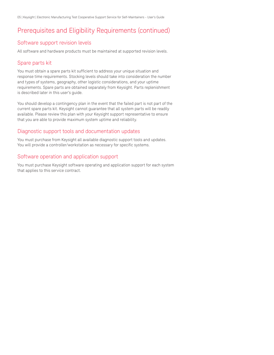## Prerequisites and Eligibility Requirements (continued)

### Software support revision levels

All software and hardware products must be maintained at supported revision levels.

### Spare parts kit

You must obtain a spare parts kit sufficient to address your unique situation and response time requirements. Stocking levels should take into consideration the number and types of systems, geography, other logistic considerations, and your uptime requirements. Spare parts are obtained separately from Keysight. Parts replenishment is described later in this user's guide.

You should develop a contingency plan in the event that the failed part is not part of the current spare parts kit. Keysight cannot guarantee that all system parts will be readily available. Please review this plan with your Keysight support representative to ensure that you are able to provide maximum system uptime and reliability.

### Diagnostic support tools and documentation updates

You must purchase from Keysight all available diagnostic support tools and updates. You will provide a controller/workstation as necessary for specific systems.

### Software operation and application support

You must purchase Keysight software operating and application support for each system that applies to this service contract.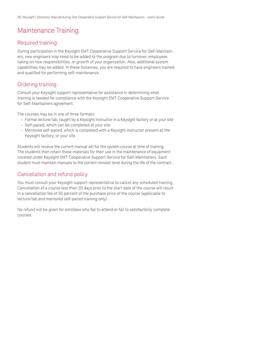# Maintenance Training

### Required training

During participation in the Keysight EMT Cooperative Support Service for Self-Maintainers, new engineers may need to be added to the program due to turnover, employees taking on new responsibilities, or growth of your organization. Also, additional system capabilities may be added. In these instances, you are required to have engineers trained and qualified for performing self-maintenance.

### Ordering training

Consult your Keysight support representative for assistance in determining what training is needed for compliance with the Keysight EMT Cooperative Support Service for Self-Maintainers agreement.

The courses may be in one of three formats:

- Formal lecture/lab, taught by a Keysight instructor in a Keysight factory or at your site
- Self-paced, which can be completed at your site
- Mentored self-paced, which is completed with a Keysight instructor present at the Keysight factory, or your site

Students will receive the current manual set for the system course at time of training. The students then retain these materials for their use in the maintenance of equipment covered under Keysight EMT Cooperative Support Service for Self-Maintainers. Each student must maintain manuals to the correct revision level during the life of the contract.

### Cancellation and refund policy

You must consult your Keysight support representative to cancel any scheduled training. Cancellation of a course less than 30 days prior to the start date of the course will result in a cancellation fee of 50 percent of the purchase price of the course (applicable to lecture/lab and mentored self-paced training only).

No refund will be given for enrollees who fail to attend or fail to satisfactorily complete courses.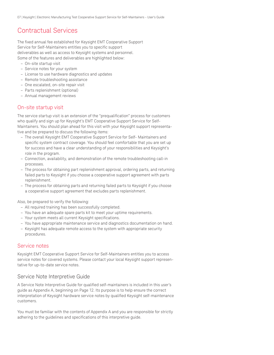## Contractual Services

The fixed annual fee established for Keysight EMT Cooperative Support Service for Self-Maintainers entitles you to specific support deliverables as well as access to Keysight systems and personnel. Some of the features and deliverables are highlighted below:

- On-site startup visit
- Service notes for your system
- License to use hardware diagnostics and updates
- Remote troubleshooting assistance
- One escalated, on-site repair visit
- Parts replenishment (optional)
- Annual management reviews

### On-site startup visit

The service startup visit is an extension of the "prequalification" process for customers who qualify and sign up for Keysight's EMT Cooperative Support Service for Self-Maintainers. You should plan ahead for this visit with your Keysight support representative and be prepared to discuss the following items:

- The overall Keysight EMT Cooperative Support Service for Self- Maintainers and specific system contract coverage. You should feel comfortable that you are set up for success and have a clear understanding of your responsibilities and Keysight's role in the program.
- Connection, availability, and demonstration of the remote troubleshooting call-in processes.
- The process for obtaining part replenishment approval, ordering parts, and returning failed parts to Keysight if you choose a cooperative support agreement with parts replenishment.
- The process for obtaining parts and returning failed parts to Keysight if you choose a cooperative support agreement that excludes parts replenishment.

Also, be prepared to verify the following:

- All required training has been successfully completed.
- You have an adequate spare parts kit to meet your uptime requirements.
- Your system meets all current Keysight specifications.
- You have appropriate maintenance service and diagnostics documentation on hand.
- Keysight has adequate remote access to the system with appropriate security procedures.

### Service notes

Keysight EMT Cooperative Support Service for Self-Maintainers entitles you to access service notes for covered systems. Please contact your local Keysight support representative for up-to-date service notes.

### Service Note Interpretive Guide

A Service Note Interpretive Guide for qualified self-maintainers is included in this user's guide as Appendix A, beginning on Page 12. Its purpose is to help ensure the correct interpretation of Keysight hardware service notes by qualified Keysight self-maintenance customers.

You must be familiar with the contents of Appendix A and you are responsible for strictly adhering to the guidelines and specifications of this interpretive guide.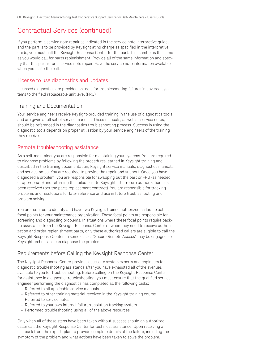## Contractual Services (continued)

If you perform a service note repair as indicated in the service note interpretive guide, and the part is to be provided by Keysight at no charge as specified in the interpretive guide, you must call the Keysight Response Center for the part. This number is the same as you would call for parts replenishment. Provide all of the same information and specify that this part is for a service note repair. Have the service note information available when you make the call.

### License to use diagnostics and updates

Licensed diagnostics are provided as tools for troubleshooting failures in covered systems to the field replaceable unit level (FRU).

### Training and Documentation

Your service engineers receive Keysight-provided training in the use of diagnostics tools and are given a full set of service manuals. These manuals, as well as service notes, should be referenced in the diagnostics troubleshooting process. Success in using the diagnostic tools depends on proper utilization by your service engineers of the training they receive.

### Remote troubleshooting assistance

As a self-maintainer you are responsible for maintaining your systems. You are required to diagnose problems by following the procedures learned in Keysight training and described in the training documentation, Keysight service manuals, diagnostics manuals, and service notes. You are required to provide the repair and support. Once you have diagnosed a problem, you are responsible for swapping out the part or FRU (as needed or appropriate) and returning the failed part to Keysight after return authorization has been received (per the parts replacement contract). You are responsible for tracking problems and resolutions for later reference and use in future troubleshooting and problem solving.

You are required to identify and have two Keysight trained authorized callers to act as focal points for your maintenance organization. These focal points are responsible for screening and diagnosing problems. In situations where these focal points require backup assistance from the Keysight Response Center or when they need to receive authorization and order replenishment parts, only these authorized callers are eligible to call the Keysight Response Center. In some cases, "Secure Remote Access" may be engaged so Keysight technicians can diagnose the problem.

### Requirements before Calling the Keysight Response Center

The Keysight Response Center provides access to system experts and engineers for diagnostic troubleshooting assistance after you have exhausted all of the avenues available to you for troubleshooting. Before calling on the Keysight Response Center for assistance in diagnostic troubleshooting, you must ensure that the qualified service engineer performing the diagnostics has completed all the following tasks:

- Referred to all applicable service manuals
- Referred to other training material received in the Keysight training course
- Referred to service notes
- Referred to your own internal failure/resolution tracking system
- Performed troubleshooting using all of the above resources

Only when all of these steps have been taken without success should an authorized caller call the Keysight Response Center for technical assistance. Upon receiving a call back from the expert, plan to provide complete details of the failure, including the symptom of the problem and what actions have been taken to solve the problem.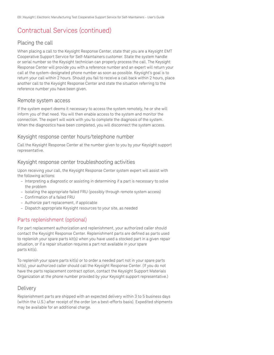## Contractual Services (continued)

### Placing the call

When placing a call to the Keysight Response Center, state that you are a Keysight EMT Cooperative Support Service for Self-Maintainers customer. State the system handle or serial number so the Keysight technician can properly process the call. The Keysight Response Center will provide you with a reference number and an expert will return your call at the system-designated phone number as soon as possible. Keysight's goal is to return your call within 2 hours. Should you fail to receive a call back within 2 hours, place another call to the Keysight Response Center and state the situation referring to the reference number you have been given.

### Remote system access

If the system expert deems it necessary to access the system remotely, he or she will inform you of that need. You will then enable access to the system and monitor the connection. The expert will work with you to complete the diagnosis of the system. When the diagnostics have been completed, you will disconnect the system access.

### Keysight response center hours/telephone number

Call the Keysight Response Center at the number given to you by your Keysight support representative.

### Keysight response center troubleshooting activities

Upon receiving your call, the Keysight Response Center system expert will assist with the following actions:

- Interpreting a diagnostic or assisting in determining if a part is necessary to solve the problem
- Isolating the appropriate failed FRU (possibly through remote system access)
- Confirmation of a failed FRU
- Authorize part replacement, if applicable
- Dispatch appropriate Keysight resources to your site, as needed

### Parts replenishment (optional)

For part replacement authorization and replenishment, your authorized caller should contact the Keysight Response Center. Replenishment parts are defined as parts used to replenish your spare parts kit(s) when you have used a stocked part in a given repair situation, or if a repair situation requires a part not available in your spare parts kit(s).

To replenish your spare parts kit(s) or to order a needed part not in your spare parts kit(s), your authorized caller should call the Keysight Response Center. (If you do not have the parts replacement contract option, contact the Keysight Support Materials Organization at the phone number provided by your Keysight support representative.)

### **Delivery**

Replenishment parts are shipped with an expected delivery within 3 to 5 business days (within the U.S.) after receipt of the order (on a best-efforts basis). Expedited shipments may be available for an additional charge.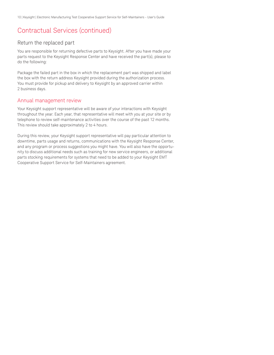## Contractual Services (continued)

### Return the replaced part

You are responsible for returning defective parts to Keysight. After you have made your parts request to the Keysight Response Center and have received the part(s), please to do the following:

Package the failed part in the box in which the replacement part was shipped and label the box with the return address Keysight provided during the authorization process. You must provide for pickup and delivery to Keysight by an approved carrier within 2 business days.

### Annual management review

Your Keysight support representative will be aware of your interactions with Keysight throughout the year. Each year, that representative will meet with you at your site or by telephone to review self-maintenance activities over the course of the past 12 months. This review should take approximately 2 to 4 hours.

During this review, your Keysight support representative will pay particular attention to downtime, parts usage and returns, communications with the Keysight Response Center, and any program or process suggestions you might have. You will also have the opportunity to discuss additional needs such as training for new service engineers, or additional parts stocking requirements for systems that need to be added to your Keysight EMT Cooperative Support Service for Self-Maintainers agreement.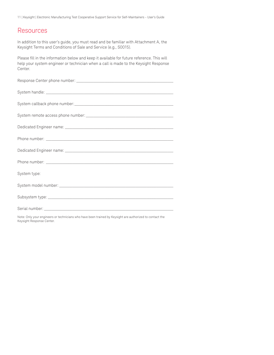11 | Keysight | Electronic Manufacturing Test Cooperative Support Service for Self-Maintainers - User's Guide

## **Resources**

In addition to this user's guide, you must read and be familiar with Attachment A, the Keysight Terms and Conditions of Sale and Service (e.g., S0015).

Please fill in the information below and keep it available for future reference. This will help your system engineer or technician when a call is made to the Keysight Response Center.

| System type: |
|--------------|
|              |
|              |
|              |

Note: Only your engineers or technicians who have been trained by Keysight are authorized to contact the Keysight Response Center.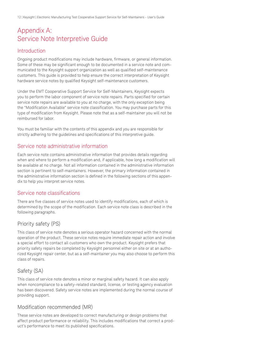## Appendix A: Service Note Interpretive Guide

### **Introduction**

Ongoing product modifications may include hardware, firmware, or general information. Some of these may be significant enough to be documented in a service note and communicated to the Keysight support organization as well as qualified self-maintenance customers. This guide is provided to help ensure the correct interpretation of Keysight hardware service notes by qualified Keysight self-maintenance customers.

Under the EMT Cooperative Support Service for Self-Maintainers, Keysight expects you to perform the labor component of service note repairs. Parts specified for certain service note repairs are available to you at no charge, with the only exception being the "Modification Available" service note classification. You may purchase parts for this type of modification from Keysight. Please note that as a self-maintainer you will not be reimbursed for labor.

You must be familiar with the contents of this appendix and you are responsible for strictly adhering to the guidelines and specifications of this interpretive guide.

### Service note administrative information

Each service note contains administrative information that provides details regarding when and where to perform a modification and, if applicable, how long a modification will be available at no charge. Not all information contained in the administrative information section is pertinent to self-maintainers. However, the primary information contained in the administrative information section is defined in the following sections of this appendix to help you interpret service notes.

### Service note classifications

There are five classes of service notes used to identify modifications, each of which is determined by the scope of the modification. Each service note class is described in the following paragraphs.

## Priority safety (PS)

This class of service note denotes a serious operator hazard concerned with the normal operation of the product. These service notes require immediate repair action and involve a special effort to contact all customers who own the product. Keysight prefers that priority safety repairs be completed by Keysight personnel either on site or at an authorized Keysight repair center, but as a self-maintainer you may also choose to perform this class of repairs.

## Safety (SA)

This class of service note denotes a minor or marginal safety hazard. It can also apply when noncompliance to a safety-related standard, license, or testing agency evaluation has been discovered. Safety service notes are implemented during the normal course of providing support.

### Modification recommended (MR)

These service notes are developed to correct manufacturing or design problems that affect product performance or reliability. This includes modifications that correct a product's performance to meet its published specifications.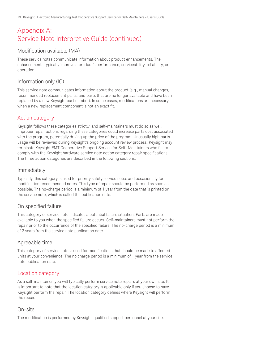## Appendix A: Service Note Interpretive Guide (continued)

### Modification available (MA)

These service notes communicate information about product enhancements. The enhancements typically improve a product's performance, serviceability, reliability, or operation.

### Information only (IO)

This service note communicates information about the product (e.g., manual changes, recommended replacement parts, and parts that are no longer available and have been replaced by a new Keysight part number). In some cases, modifications are necessary when a new replacement component is not an exact fit.

### Action category

Keysight follows these categories strictly, and self-maintainers must do so as well. Improper repair actions regarding these categories could increase parts cost associated with the program, potentially driving up the price of the program. Unusually high parts usage will be reviewed during Keysight's ongoing account review process. Keysight may terminate Keysight EMT Cooperative Support Service for Self- Maintainers who fail to comply with the Keysight hardware service note action category repair specifications. The three action categories are described in the following sections.

### Immediately

Typically, this category is used for priority safety service notes and occasionally for modification recommended notes. This type of repair should be performed as soon as possible. The no-charge period is a minimum of 1 year from the date that is printed on the service note, which is called the publication date.

### On specified failure

This category of service note indicates a potential failure situation. Parts are made available to you when the specified failure occurs. Self-maintainers must not perform the repair prior to the occurrence of the specified failure. The no-charge period is a minimum of 2 years from the service note publication date.

### Agreeable time

This category of service note is used for modifications that should be made to affected units at your convenience. The no charge period is a minimum of 1 year from the service note publication date.

### Location category

As a self-maintainer, you will typically perform service note repairs at your own site. It is important to note that the location category is applicable only if you choose to have Keysight perform the repair. The location category defines where Keysight will perform the repair.

### On-site

The modification is performed by Keysight-qualified support personnel at your site.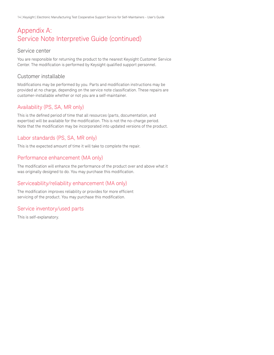## Appendix A: Service Note Interpretive Guide (continued)

### Service center

You are responsible for returning the product to the nearest Keysight Customer Service Center. The modification is performed by Keysight qualified support personnel.

### Customer installable

Modifications may be performed by you. Parts and modification instructions may be provided at no charge, depending on the service note classification. These repairs are customer-installable whether or not you are a self-maintainer.

### Availability (PS, SA, MR only)

This is the defined period of time that all resources (parts, documentation, and expertise) will be available for the modification. This is not the no-charge period. Note that the modification may be incorporated into updated versions of the product.

### Labor standards (PS, SA, MR only)

This is the expected amount of time it will take to complete the repair.

### Performance enhancement (MA only)

The modification will enhance the performance of the product over and above what it was originally designed to do. You may purchase this modification.

### Serviceability/reliability enhancement (MA only)

The modification improves reliability or provides for more efficient servicing of the product. You may purchase this modification.

### Service inventory/used parts

This is self-explanatory.